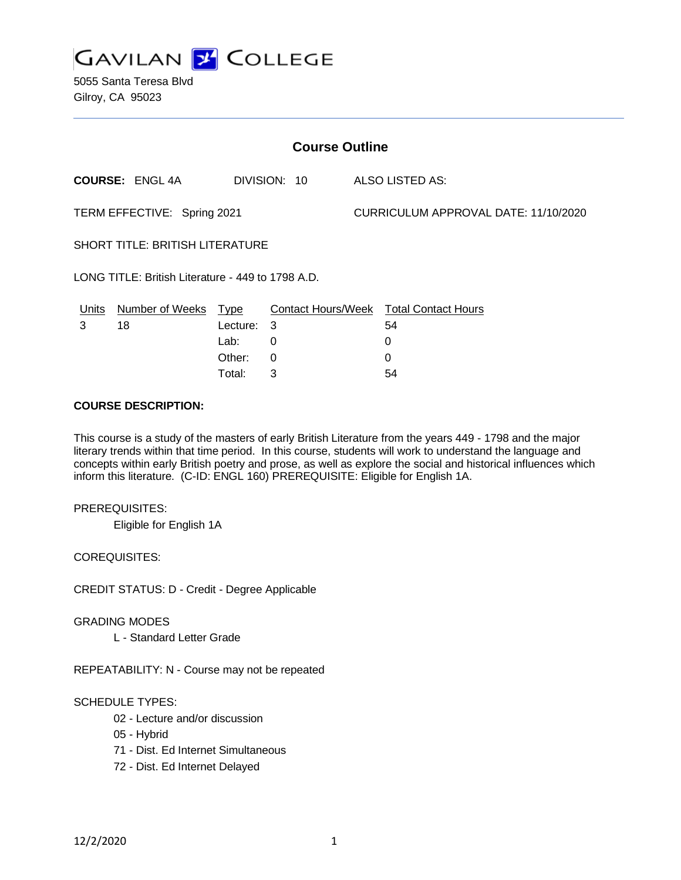

5055 Santa Teresa Blvd Gilroy, CA 95023

| <b>Course Outline</b>                             |                                        |            |                 |                                      |                                        |
|---------------------------------------------------|----------------------------------------|------------|-----------------|--------------------------------------|----------------------------------------|
|                                                   | <b>COURSE: ENGL 4A</b><br>DIVISION: 10 |            | ALSO LISTED AS: |                                      |                                        |
| TERM EFFECTIVE: Spring 2021                       |                                        |            |                 | CURRICULUM APPROVAL DATE: 11/10/2020 |                                        |
| SHORT TITLE: BRITISH LITERATURE                   |                                        |            |                 |                                      |                                        |
| LONG TITLE: British Literature - 449 to 1798 A.D. |                                        |            |                 |                                      |                                        |
| <u>Units</u>                                      | Number of Weeks Type                   |            |                 |                                      | Contact Hours/Week Total Contact Hours |
| 3                                                 | 18                                     | Lecture: 3 |                 |                                      | 54                                     |
|                                                   |                                        | Lab:       | $\Omega$        |                                      | 0                                      |
|                                                   |                                        | Other:     | $\mathbf{0}$    |                                      | 0                                      |
|                                                   |                                        | Total:     | 3               |                                      | 54                                     |

### **COURSE DESCRIPTION:**

This course is a study of the masters of early British Literature from the years 449 - 1798 and the major literary trends within that time period. In this course, students will work to understand the language and concepts within early British poetry and prose, as well as explore the social and historical influences which inform this literature. (C-ID: ENGL 160) PREREQUISITE: Eligible for English 1A.

#### PREREQUISITES:

Eligible for English 1A

COREQUISITES:

CREDIT STATUS: D - Credit - Degree Applicable

#### GRADING MODES

L - Standard Letter Grade

REPEATABILITY: N - Course may not be repeated

#### SCHEDULE TYPES:

- 02 Lecture and/or discussion
- 05 Hybrid
- 71 Dist. Ed Internet Simultaneous
- 72 Dist. Ed Internet Delayed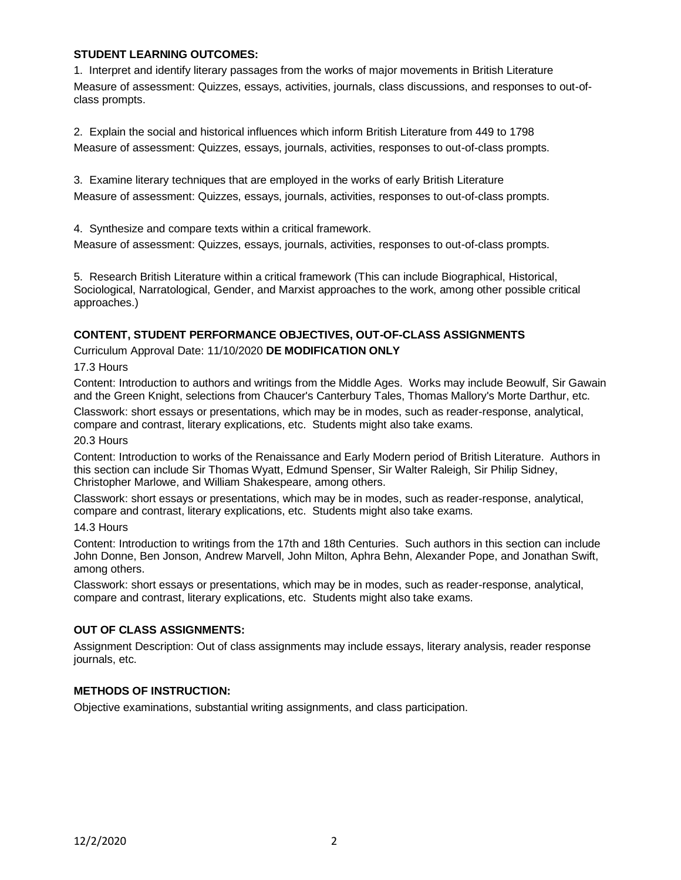### **STUDENT LEARNING OUTCOMES:**

1. Interpret and identify literary passages from the works of major movements in British Literature Measure of assessment: Quizzes, essays, activities, journals, class discussions, and responses to out-ofclass prompts.

2. Explain the social and historical influences which inform British Literature from 449 to 1798 Measure of assessment: Quizzes, essays, journals, activities, responses to out-of-class prompts.

3. Examine literary techniques that are employed in the works of early British Literature Measure of assessment: Quizzes, essays, journals, activities, responses to out-of-class prompts.

4. Synthesize and compare texts within a critical framework.

Measure of assessment: Quizzes, essays, journals, activities, responses to out-of-class prompts.

5. Research British Literature within a critical framework (This can include Biographical, Historical, Sociological, Narratological, Gender, and Marxist approaches to the work, among other possible critical approaches.)

## **CONTENT, STUDENT PERFORMANCE OBJECTIVES, OUT-OF-CLASS ASSIGNMENTS**

Curriculum Approval Date: 11/10/2020 **DE MODIFICATION ONLY**

#### 17.3 Hours

Content: Introduction to authors and writings from the Middle Ages. Works may include Beowulf, Sir Gawain and the Green Knight, selections from Chaucer's Canterbury Tales, Thomas Mallory's Morte Darthur, etc.

Classwork: short essays or presentations, which may be in modes, such as reader-response, analytical, compare and contrast, literary explications, etc. Students might also take exams.

#### 20.3 Hours

Content: Introduction to works of the Renaissance and Early Modern period of British Literature. Authors in this section can include Sir Thomas Wyatt, Edmund Spenser, Sir Walter Raleigh, Sir Philip Sidney, Christopher Marlowe, and William Shakespeare, among others.

Classwork: short essays or presentations, which may be in modes, such as reader-response, analytical, compare and contrast, literary explications, etc. Students might also take exams.

#### 14.3 Hours

Content: Introduction to writings from the 17th and 18th Centuries. Such authors in this section can include John Donne, Ben Jonson, Andrew Marvell, John Milton, Aphra Behn, Alexander Pope, and Jonathan Swift, among others.

Classwork: short essays or presentations, which may be in modes, such as reader-response, analytical, compare and contrast, literary explications, etc. Students might also take exams.

## **OUT OF CLASS ASSIGNMENTS:**

Assignment Description: Out of class assignments may include essays, literary analysis, reader response journals, etc.

### **METHODS OF INSTRUCTION:**

Objective examinations, substantial writing assignments, and class participation.